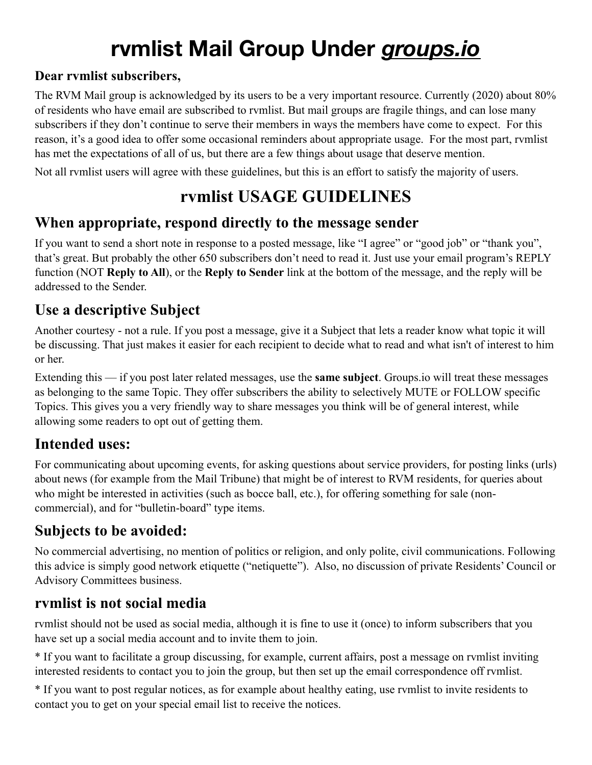# **rvmlist Mail Group Under** *groups.io*

#### **Dear rvmlist subscribers,**

The RVM Mail group is acknowledged by its users to be a very important resource. Currently (2020) about 80% of residents who have email are subscribed to rvmlist. But mail groups are fragile things, and can lose many subscribers if they don't continue to serve their members in ways the members have come to expect. For this reason, it's a good idea to offer some occasional reminders about appropriate usage. For the most part, rvmlist has met the expectations of all of us, but there are a few things about usage that deserve mention.

Not all rvmlist users will agree with these guidelines, but this is an effort to satisfy the majority of users.

## **rvmlist USAGE GUIDELINES**

#### **When appropriate, respond directly to the message sender**

If you want to send a short note in response to a posted message, like "I agree" or "good job" or "thank you", that's great. But probably the other 650 subscribers don't need to read it. Just use your email program's REPLY function (NOT **Reply to All**), or the **Reply to Sender** link at the bottom of the message, and the reply will be addressed to the Sender.

#### **Use a descriptive Subject**

Another courtesy - not a rule. If you post a message, give it a Subject that lets a reader know what topic it will be discussing. That just makes it easier for each recipient to decide what to read and what isn't of interest to him or her.

Extending this — if you post later related messages, use the **same subject**. Groups.io will treat these messages as belonging to the same Topic. They offer subscribers the ability to selectively MUTE or FOLLOW specific Topics. This gives you a very friendly way to share messages you think will be of general interest, while allowing some readers to opt out of getting them.

#### **Intended uses:**

For communicating about upcoming events, for asking questions about service providers, for posting links (urls) about news (for example from the Mail Tribune) that might be of interest to RVM residents, for queries about who might be interested in activities (such as bocce ball, etc.), for offering something for sale (noncommercial), and for "bulletin-board" type items.

### **Subjects to be avoided:**

No commercial advertising, no mention of politics or religion, and only polite, civil communications. Following this advice is simply good network etiquette ("netiquette"). Also, no discussion of private Residents' Council or Advisory Committees business.

#### **rvmlist is not social media**

rvmlist should not be used as social media, although it is fine to use it (once) to inform subscribers that you have set up a social media account and to invite them to join.

\* If you want to facilitate a group discussing, for example, current affairs, post a message on rvmlist inviting interested residents to contact you to join the group, but then set up the email correspondence off rvmlist.

\* If you want to post regular notices, as for example about healthy eating, use rvmlist to invite residents to contact you to get on your special email list to receive the notices.